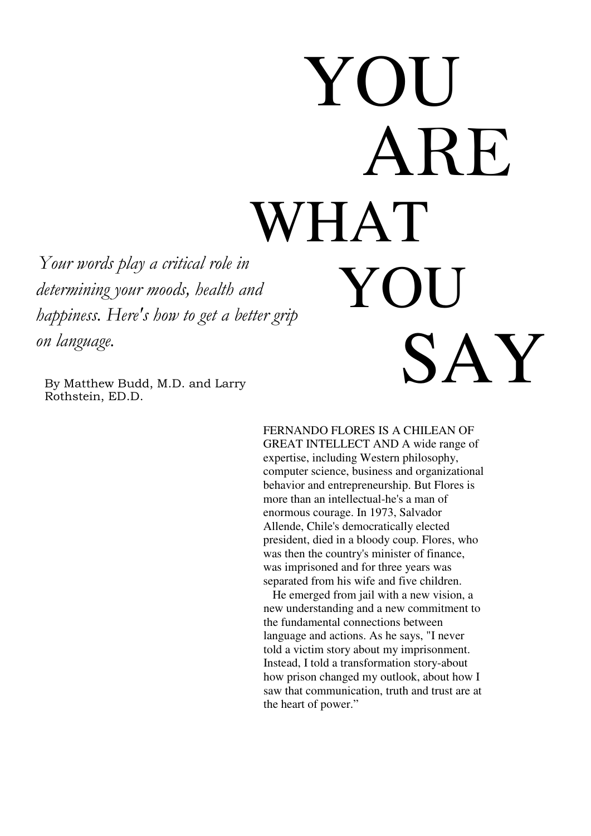# WHAT YOU ARE AT<br>T YOU SAY

Your words play a critical role in determining your moods, health and happiness. Here's how to get a better grip on language.

By Matthew Budd, M.D. and Larry Rothstein, ED.D.

> FERNANDO FLORES IS A CHILEAN OF GREAT INTELLECT AND A wide range of expertise, including Western philosophy, computer science, business and organizational behavior and entrepreneurship. But Flores is more than an intellectual-he's a man of enormous courage. In 1973, Salvador Allende, Chile's democratically elected president, died in a bloody coup. Flores, who was then the country's minister of finance, was imprisoned and for three years was separated from his wife and five children.

> He emerged from jail with a new vision, a new understanding and a new commitment to the fundamental connections between language and actions. As he says, "I never told a victim story about my imprisonment. Instead, I told a transformation story-about how prison changed my outlook, about how I saw that communication, truth and trust are at the heart of power."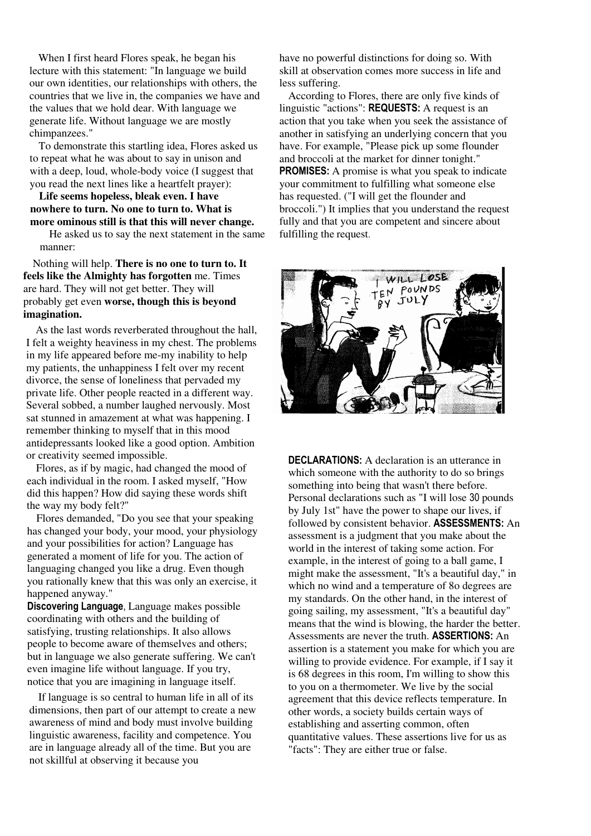When I first heard Flores speak, he began his lecture with this statement: "In language we build our own identities, our relationships with others, the countries that we live in, the companies we have and the values that we hold dear. With language we generate life. Without language we are mostly chimpanzees."

To demonstrate this startling idea, Flores asked us to repeat what he was about to say in unison and with a deep, loud, whole-body voice (I suggest that you read the next lines like a heartfelt prayer):

**Life seems hopeless, bleak even. I have nowhere to turn. No one to turn to. What is more ominous still is that this will never change.** 

He asked us to say the next statement in the same manner:

Nothing will help. **There is no one to turn to. It feels like the Almighty has forgotten** me. Times are hard. They will not get better. They will probably get even **worse, though this is beyond imagination.** 

As the last words reverberated throughout the hall, I felt a weighty heaviness in my chest. The problems in my life appeared before me-my inability to help my patients, the unhappiness I felt over my recent divorce, the sense of loneliness that pervaded my private life. Other people reacted in a different way. Several sobbed, a number laughed nervously. Most sat stunned in amazement at what was happening. I remember thinking to myself that in this mood antidepressants looked like a good option. Ambition or creativity seemed impossible.

Flores, as if by magic, had changed the mood of each individual in the room. I asked myself, "How did this happen? How did saying these words shift the way my body felt?"

Flores demanded, "Do you see that your speaking has changed your body, your mood, your physiology and your possibilities for action? Language has generated a moment of life for you. The action of languaging changed you like a drug. Even though you rationally knew that this was only an exercise, it happened anyway."

Discovering Language, Language makes possible coordinating with others and the building of satisfying, trusting relationships. It also allows people to become aware of themselves and others; but in language we also generate suffering. We can't even imagine life without language. If you try, notice that you are imagining in language itself.

If language is so central to human life in all of its dimensions, then part of our attempt to create a new awareness of mind and body must involve building linguistic awareness, facility and competence. You are in language already all of the time. But you are not skillful at observing it because you

have no powerful distinctions for doing so. With skill at observation comes more success in life and less suffering.

According to Flores, there are only five kinds of linguistic "actions": REQUESTS: A request is an action that you take when you seek the assistance of another in satisfying an underlying concern that you have. For example, "Please pick up some flounder and broccoli at the market for dinner tonight." PROMISES: A promise is what you speak to indicate your commitment to fulfilling what someone else has requested. ("I will get the flounder and broccoli.") It implies that you understand the request fully and that you are competent and sincere about fulfilling the request.



DECLARATIONS: A declaration is an utterance in which someone with the authority to do so brings something into being that wasn't there before. Personal declarations such as "I will lose 30 pounds by July 1st" have the power to shape our lives, if followed by consistent behavior. ASSESSMENTS: An assessment is a judgment that you make about the world in the interest of taking some action. For example, in the interest of going to a ball game, I might make the assessment, "It's a beautiful day," in which no wind and a temperature of 8o degrees are my standards. On the other hand, in the interest of going sailing, my assessment, "It's a beautiful day" means that the wind is blowing, the harder the better. Assessments are never the truth. ASSERTIONS: An assertion is a statement you make for which you are willing to provide evidence. For example, if I say it is 68 degrees in this room, I'm willing to show this to you on a thermometer. We live by the social agreement that this device reflects temperature. In other words, a society builds certain ways of establishing and asserting common, often quantitative values. These assertions live for us as "facts": They are either true or false.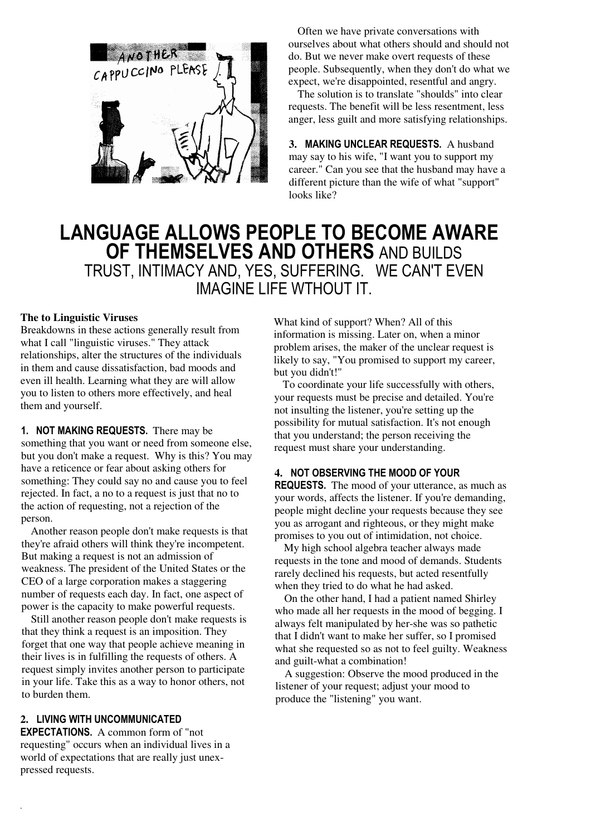

Often we have private conversations with ourselves about what others should and should not do. But we never make overt requests of these people. Subsequently, when they don't do what we expect, we're disappointed, resentful and angry.

The solution is to translate "shoulds" into clear requests. The benefit will be less resentment, less anger, less guilt and more satisfying relationships.

**3.** MAKING UNCLEAR REQUESTS. A husband may say to his wife, "I want you to support my career." Can you see that the husband may have a different picture than the wife of what "support" looks like?

## LANGUAGE ALLOWS PEOPLE TO BECOME AWARE OF THEMSELVES AND OTHERS AND BUILDS TRUST, INTIMACY AND, YES, SUFFERING. WE CAN'T EVEN IMAGINE LIFE WTHOUT IT.

#### **The to Linguistic Viruses**

Breakdowns in these actions generally result from what I call "linguistic viruses." They attack relationships, alter the structures of the individuals in them and cause dissatisfaction, bad moods and even ill health. Learning what they are will allow you to listen to others more effectively, and heal them and yourself.

#### 1. NOT MAKING REQUESTS. There may be

something that you want or need from someone else, but you don't make a request. Why is this? You may have a reticence or fear about asking others for something: They could say no and cause you to feel rejected. In fact, a no to a request is just that no to the action of requesting, not a rejection of the person.

Another reason people don't make requests is that they're afraid others will think they're incompetent. But making a request is not an admission of weakness. The president of the United States or the CEO of a large corporation makes a staggering number of requests each day. In fact, one aspect of power is the capacity to make powerful requests.

Still another reason people don't make requests is that they think a request is an imposition. They forget that one way that people achieve meaning in their lives is in fulfilling the requests of others. A request simply invites another person to participate in your life. Take this as a way to honor others, not to burden them.

#### **2.** LIVING WITH UNCOMMUNICATED

.

EXPECTATIONS. A common form of "not requesting" occurs when an individual lives in a world of expectations that are really just unexpressed requests.

What kind of support? When? All of this information is missing. Later on, when a minor problem arises, the maker of the unclear request is likely to say, "You promised to support my career, but you didn't!"

To coordinate your life successfully with others, your requests must be precise and detailed. You're not insulting the listener, you're setting up the possibility for mutual satisfaction. It's not enough that you understand; the person receiving the request must share your understanding.

#### **4.** NOT OBSERVING THE MOOD OF YOUR

REQUESTS. The mood of your utterance, as much as your words, affects the listener. If you're demanding, people might decline your requests because they see you as arrogant and righteous, or they might make promises to you out of intimidation, not choice.

My high school algebra teacher always made requests in the tone and mood of demands. Students rarely declined his requests, but acted resentfully when they tried to do what he had asked.

On the other hand, I had a patient named Shirley who made all her requests in the mood of begging. I always felt manipulated by her-she was so pathetic that I didn't want to make her suffer, so I promised what she requested so as not to feel guilty. Weakness and guilt-what a combination!

A suggestion: Observe the mood produced in the listener of your request; adjust your mood to produce the "listening" you want.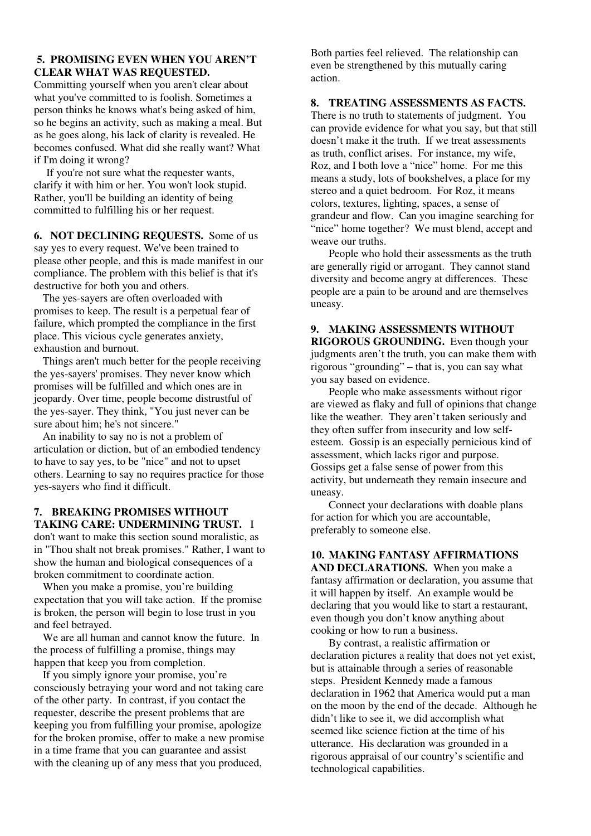#### **5. PROMISING EVEN WHEN YOU AREN'T CLEAR WHAT WAS REQUESTED.**

Committing yourself when you aren't clear about what you've committed to is foolish. Sometimes a person thinks he knows what's being asked of him, so he begins an activity, such as making a meal. But as he goes along, his lack of clarity is revealed. He becomes confused. What did she really want? What if I'm doing it wrong?

If you're not sure what the requester wants, clarify it with him or her. You won't look stupid. Rather, you'll be building an identity of being committed to fulfilling his or her request.

**6. NOT DECLINING REQUESTS.** Some of us say yes to every request. We've been trained to please other people, and this is made manifest in our compliance. The problem with this belief is that it's destructive for both you and others.

The yes-sayers are often overloaded with promises to keep. The result is a perpetual fear of failure, which prompted the compliance in the first place. This vicious cycle generates anxiety, exhaustion and burnout.

Things aren't much better for the people receiving the yes-sayers' promises. They never know which promises will be fulfilled and which ones are in jeopardy. Over time, people become distrustful of the yes-sayer. They think, "You just never can be sure about him; he's not sincere."

An inability to say no is not a problem of articulation or diction, but of an embodied tendency to have to say yes, to be "nice" and not to upset others. Learning to say no requires practice for those yes-sayers who find it difficult.

#### **7. BREAKING PROMISES WITHOUT TAKING CARE: UNDERMINING TRUST.** I

don't want to make this section sound moralistic, as in "Thou shalt not break promises." Rather, I want to show the human and biological consequences of a broken commitment to coordinate action.

 When you make a promise, you're building expectation that you will take action. If the promise is broken, the person will begin to lose trust in you and feel betrayed.

 We are all human and cannot know the future. In the process of fulfilling a promise, things may happen that keep you from completion.

 If you simply ignore your promise, you're consciously betraying your word and not taking care of the other party. In contrast, if you contact the requester, describe the present problems that are keeping you from fulfilling your promise, apologize for the broken promise, offer to make a new promise in a time frame that you can guarantee and assist with the cleaning up of any mess that you produced,

Both parties feel relieved. The relationship can even be strengthened by this mutually caring action.

#### **8. TREATING ASSESSMENTS AS FACTS.**

There is no truth to statements of judgment. You can provide evidence for what you say, but that still doesn't make it the truth. If we treat assessments as truth, conflict arises. For instance, my wife, Roz, and I both love a "nice" home. For me this means a study, lots of bookshelves, a place for my stereo and a quiet bedroom. For Roz, it means colors, textures, lighting, spaces, a sense of grandeur and flow. Can you imagine searching for "nice" home together? We must blend, accept and weave our truths.

 People who hold their assessments as the truth are generally rigid or arrogant. They cannot stand diversity and become angry at differences. These people are a pain to be around and are themselves uneasy.

#### **9. MAKING ASSESSMENTS WITHOUT RIGOROUS GROUNDING.** Even though your judgments aren't the truth, you can make them with rigorous "grounding" – that is, you can say what you say based on evidence.

 People who make assessments without rigor are viewed as flaky and full of opinions that change like the weather. They aren't taken seriously and they often suffer from insecurity and low selfesteem. Gossip is an especially pernicious kind of assessment, which lacks rigor and purpose. Gossips get a false sense of power from this activity, but underneath they remain insecure and uneasy.

 Connect your declarations with doable plans for action for which you are accountable, preferably to someone else.

### **10. MAKING FANTASY AFFIRMATIONS**

**AND DECLARATIONS.** When you make a fantasy affirmation or declaration, you assume that it will happen by itself. An example would be declaring that you would like to start a restaurant, even though you don't know anything about cooking or how to run a business.

 By contrast, a realistic affirmation or declaration pictures a reality that does not yet exist, but is attainable through a series of reasonable steps. President Kennedy made a famous declaration in 1962 that America would put a man on the moon by the end of the decade. Although he didn't like to see it, we did accomplish what seemed like science fiction at the time of his utterance. His declaration was grounded in a rigorous appraisal of our country's scientific and technological capabilities.